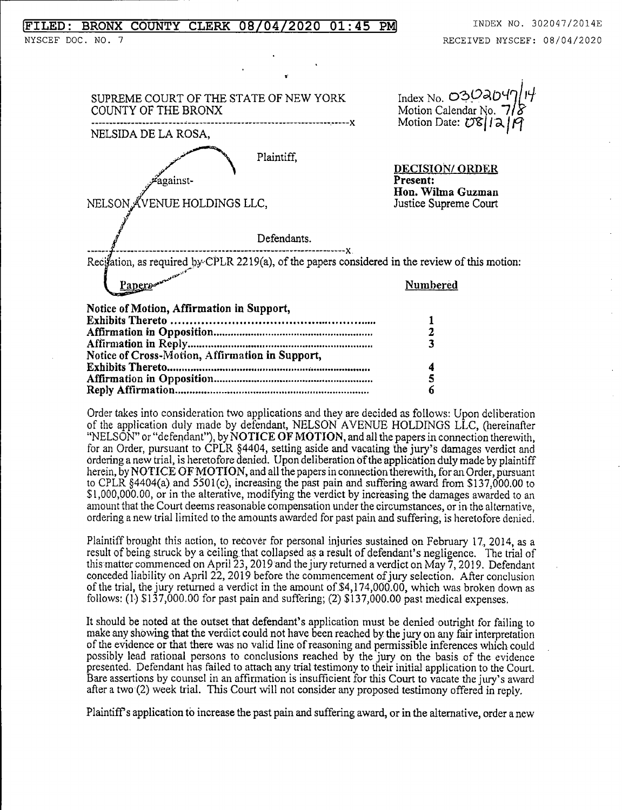## FILED: BRONX COUNTY CLERK 08/04/2020 01:45 PM INDEX NO. 302047/2014E

SUPREME COURT OF THE STATE OF NEW YORK Index No. 0302C<br>COUNTY OF THE BRONX Motion Calendar No. COUNTY OF THE BRONX Motion Calendar No. 11^  $\frac{1}{2}$ <br>  $\frac{1}{2}$   $\frac{1}{2}$   $\frac{1}{2}$   $\frac{1}{2}$   $\frac{1}{2}$   $\frac{1}{2}$   $\frac{1}{2}$   $\frac{1}{2}$   $\frac{1}{2}$   $\frac{1}{2}$   $\frac{1}{2}$   $\frac{1}{2}$   $\frac{1}{2}$   $\frac{1}{2}$   $\frac{1}{2}$   $\frac{1}{2}$   $\frac{1}{2}$   $\frac{1}{2}$   $\frac{1}{2}$   $\frac{1}{2}$   $\frac{1}{2}$  Plaintiff, y DECTSTON/ ORDER<br>
against-<br>
Present: Present: Hon. Wilma Guzman<br>Justice Supreme Court NELSON ÄVENUE HOLDINGS LLC, SON AV Defendants. X Recitation, as required by CPLR 2219(a), of the papers considered in the review of this motion: Papers and the contract of the contract of the contract of the contract of the contract of the contract of the contract of the contract of the contract of the contract of the contract of the contract of the contract of the Notice of Motion, Affirmation in Support, Exhibits Thereto 1 Affirmation in Opposition 2 Affirmation in Reply 3 Notice of Cross-Motion, Affirmation in Support, Exhibits Thereto (1990) 1990 1991 1992 1993 1994 1994 1994 1994 1995 1994 1994 1995 1996 1997 1998 1999 1999 1<br>  $\frac{4}{5}$ Affirmation in Opposition 5 Reply Affirmation 6

Order takes into consideration two applications and they are decided as follows: Upon deliberation of the application duly made by defendant, NELSON AVENUE HOLDINGS LLC, (liereinafter "NELSON" or "defendant"), by NOTICE OF MOTION, and all the papers in connection therewith, for an Order, pursuant to CPLR §4404, setting aside and vacating the jury's damages verdict and ordering a new trial, is heretofore denied. Upon deliberation of the application duly made by plaintiff herein, by NOTICE OF MOTION, and all the papers in connection therewith, for an Order, pursuant to CPLR §4404(a) and 5501(c), increasing the past pain and suffering award from \$137,000.00 to \$1,000,000.00, or in the alterative, modifying the verdict by increasing the damages awarded to an amount that the Court deems reasonable compensation under the circumstances, or in the alternative, ordering a new trial limited to the amounts awarded for past pain and suffering, is heretofore denied.

Plaintiff brought this action, to recover for personal injuries sustained on February 17, 2014, as a result of being struck by a ceiling that collapsed as a result of defendant's negligence. The trial of this matter commenced on April 23, 2019 and the jury returned a verdict on May 7, 2019. Defendant conceded liability on April 22, 2019 before the commencement ofjury selection. After conclusion of the trial, the jury returned a verdict in the amount of  $$4,174,000.00$ , which was broken down as follows:  $(1)$  \$137,000.00 for past pain and suffering;  $(2)$  \$137,000.00 past medical expenses.

It should be noted at the outset that defendant's application must be denied outright for failing to make any showing that the verdict could not have been reached by the jury on any fair interpretation of the evidence or that there was no valid line of reasoning and permissible inferences which could possibly lead rational persons to conclusions reached by the jury on the basis of the evidence presented. Defendant has failed to attach any trial testimony to their initial application to the Court. Bare assertions by counsel in an affirmation is insufficient for this Court to vacate the jury's award after a two (2) week trial. This Court will not consider any proposed testimony offered in reply.

PlaintifF s application to increase the past pain and suffering award, or in the alternative, order a new